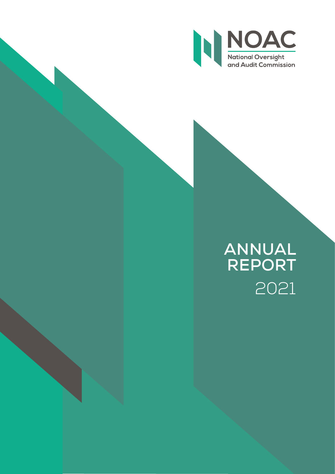

# **ANNUAL REPORT**  2021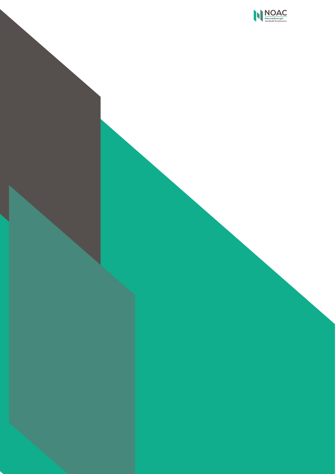

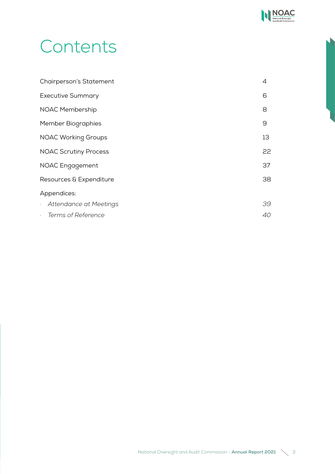# **Contents**

| Chairperson's Statement                  | 4  |
|------------------------------------------|----|
| <b>Executive Summary</b>                 | 6  |
| <b>NOAC Membership</b>                   | 8  |
| Member Biographies                       | 9  |
| <b>NOAC Working Groups</b>               | 13 |
| <b>NOAC Scrutiny Process</b>             | 22 |
| <b>NOAC Engagement</b>                   | 37 |
| Resources & Expenditure                  | 38 |
| Appendices:                              |    |
| <b>Attendance at Meetings</b><br>$\cdot$ | 39 |
| Terms of Reference<br>$\cdot$            | 40 |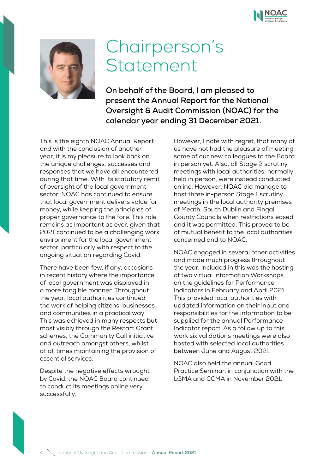

# Chairperson's Statement

**On behalf of the Board, I am pleased to present the Annual Report for the National Oversight & Audit Commission (NOAC) for the calendar year ending 31 December 2021.**

This is the eighth NOAC Annual Report and with the conclusion of another year, it is my pleasure to look back on the unique challenges, successes and responses that we have all encountered during that time. With its statutory remit of oversight of the local government sector, NOAC has continued to ensure that local government delivers value for money, while keeping the principles of proper governance to the fore. This role remains as important as ever, given that 2021 continued to be a challenging work environment for the local government sector, particularly with respect to the ongoing situation regarding Covid.

There have been few, if any, occasions in recent history where the importance of local government was displayed in a more tangible manner. Throughout the year, local authorities continued the work of helping citizens, businesses and communities in a practical way. This was achieved in many respects but most visibly through the Restart Grant schemes, the Community Call initiative and outreach amongst others, whilst at all times maintaining the provision of essential services.

Despite the negative effects wrought by Covid, the NOAC Board continued to conduct its meetings online very successfully.

However, I note with regret, that many of us have not had the pleasure of meeting some of our new colleagues to the Board in person yet. Also, all Stage 2 scrutiny meetings with local authorities, normally held in person, were instead conducted online. However, NOAC did manage to host three in-person Stage 1 scrutiny meetings in the local authority premises of Meath, South Dublin and Fingal County Councils when restrictions eased and it was permitted. This proved to be of mutual benefit to the local authorities concerned and to NOAC.

NOAC engaged in several other activities and made much progress throughout the year. Included in this was the hosting of two virtual Information Workshops on the guidelines for Performance Indicators in February and April 2021. This provided local authorities with updated information on their input and responsibilities for the information to be supplied for the annual Performance Indicator report. As a follow up to this work six validations meetings were also hosted with selected local authorities between June and August 2021.

NOAC also held the annual Good Practice Seminar, in conjunction with the LGMA and CCMA in November 2021.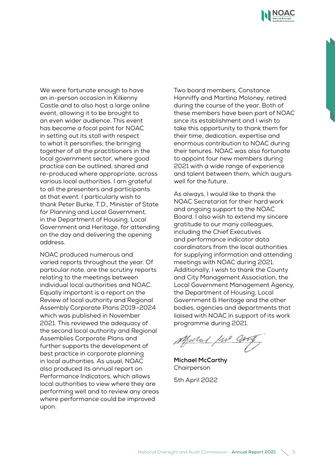

We were fortunate enough to have an in-person occasion in Kilkenny Castle and to also host a large online event, allowing it to be brought to an even wider audience. This event has become a focal point for NOAC in setting out its stall with respect to what it personifies; the bringing together of all the practitioners in the local government sector, where good practice can be outlined, shared and re-produced where appropriate, across various local authorities. I am grateful to all the presenters and participants at that event. I particularly wish to thank Peter Burke, T.D., Minister of State for Planning and Local Government, in the Department of Housing, Local Government and Heritage, for attending on the day and delivering the opening address.

NOAC produced numerous and varied reports throughout the year. Of particular note, are the scrutiny reports relating to the meetings between individual local authorities and NOAC. Equally important is a report on the Review of local authority and Regional Assembly Corporate Plans 2019–2024 which was published in November 2021. This reviewed the adequacy of the second local authority and Regional Assemblies Corporate Plans and further supports the development of best practice in corporate planning in local authorities. As usual, NOAC also produced its annual report on Performance Indicators, which allows local authorities to view where they are performing well and to review any areas where performance could be improved upon.

Two board members, Constance Hanniffy and Martina Moloney, retired during the course of the year. Both of these members have been part of NOAC since its establishment and I wish to take this opportunity to thank them for their time, dedication, expertise and enormous contribution to NOAC during their tenures. NOAC was also fortunate to appoint four new members during 2021 with a wide range of experience and talent between them, which augurs well for the future.

As always, I would like to thank the NOAC Secretariat for their hard work and ongoing support to the NOAC Board. I also wish to extend my sincere gratitude to our many colleagues, including the Chief Executives and performance indicator data coordinators from the local authorities for supplying information and attending meetings with NOAC during 2021. Additionally, I wish to thank the County and City Management Association, the Local Government Management Agency, the Department of Housing, Local Government & Heritage and the other bodies, agencies and departments that liaised with NOAC in support of its work programme during 2021.

Murul, <u>par</u>

**Michael McCarthy Chairperson** 

5th April 2022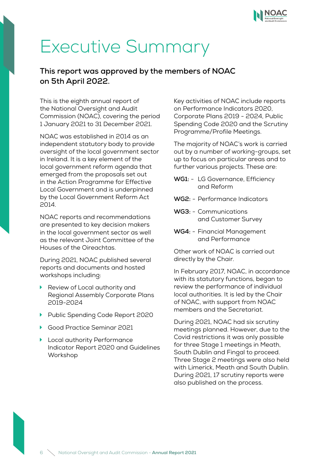

# Executive Summary

## **This report was approved by the members of NOAC on 5th April 2022.**

This is the eighth annual report of the National Oversight and Audit Commission (NOAC), covering the period 1 January 2021 to 31 December 2021.

NOAC was established in 2014 as an independent statutory body to provide oversight of the local government sector in Ireland. It is a key element of the local government reform agenda that emerged from the proposals set out in the Action Programme for Effective Local Government and is underpinned by the Local Government Reform Act 2014.

NOAC reports and recommendations are presented to key decision makers in the local government sector as well as the relevant Joint Committee of the Houses of the Oireachtas.

During 2021, NOAC published several reports and documents and hosted workshops including:

- ▶ Review of Local authority and Regional Assembly Corporate Plans 2019-2024
- ▶ Public Spending Code Report 2020
- ▶ Good Practice Seminar 2021
- **Local authority Performance** Indicator Report 2020 and Guidelines Workshop

Key activities of NOAC include reports on Performance Indicators 2020, Corporate Plans 2019 - 2024, Public Spending Code 2020 and the Scrutiny Programme/Profile Meetings.

The majority of NOAC's work is carried out by a number of working-groups, set up to focus on particular areas and to further various projects. These are:

- **WG1:** LG Governance, Efficiency and Reform
- **WG2:** Performance Indicators
- **WG3:** Communications and Customer Survey
- **WG4:** Financial Management and Performance

Other work of NOAC is carried out directly by the Chair.

In February 2017, NOAC, in accordance with its statutory functions, began to review the performance of individual local authorities. It is led by the Chair of NOAC, with support from NOAC members and the Secretariat.

During 2021, NOAC had six scrutiny meetings planned. However, due to the Covid restrictions it was only possible for three Stage 1 meetings in Meath, South Dublin and Fingal to proceed. Three Stage 2 meetings were also held with Limerick, Meath and South Dublin. During 2021, 17 scrutiny reports were also published on the process.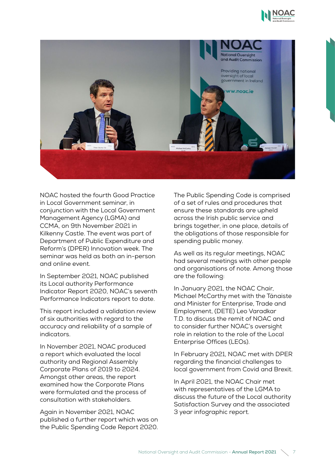



NOAC hosted the fourth Good Practice in Local Government seminar, in conjunction with the Local Government Management Agency (LGMA) and CCMA, on 9th November 2021 in Kilkenny Castle. The event was part of Department of Public Expenditure and Reform's (DPER) Innovation week. The seminar was held as both an in-person and online event.

In September 2021, NOAC published its Local authority Performance Indicator Report 2020, NOAC's seventh Performance Indicators report to date.

This report included a validation review of six authorities with regard to the accuracy and reliability of a sample of indicators.

In November 2021, NOAC produced a report which evaluated the local authority and Regional Assembly Corporate Plans of 2019 to 2024. Amongst other areas, the report examined how the Corporate Plans were formulated and the process of consultation with stakeholders.

Again in November 2021, NOAC published a further report which was on the Public Spending Code Report 2020.

The Public Spending Code is comprised of a set of rules and procedures that ensure these standards are upheld across the Irish public service and brings together, in one place, details of the obligations of those responsible for spending public money.

As well as its regular meetings, NOAC had several meetings with other people and organisations of note. Among those are the following:

In January 2021, the NOAC Chair, Michael McCarthy met with the Tánaiste and Minister for Enterprise, Trade and Employment, (DETE) Leo Varadkar T.D. to discuss the remit of NOAC and to consider further NOAC's oversight role in relation to the role of the Local Enterprise Offices (LEOs).

In February 2021, NOAC met with DPER regarding the financial challenges to local government from Covid and Brexit.

In April 2021, the NOAC Chair met with representatives of the LGMA to discuss the future of the Local authority Satisfaction Survey and the associated 3 year infographic report.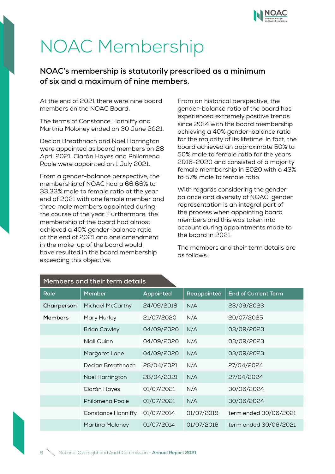

# NOAC Membership

## **NOAC's membership is statutorily prescribed as a minimum of six and a maximum of nine members.**

At the end of 2021 there were nine board members on the NOAC Board.

The terms of Constance Hanniffy and Martina Moloney ended on 30 June 2021.

Declan Breathnach and Noel Harrington were appointed as board members on 28 April 2021. Ciarán Hayes and Philomena Poole were appointed on 1 July 2021.

From a gender-balance perspective, the membership of NOAC had a 66.66% to 33.33% male to female ratio at the year end of 2021 with one female member and three male members appointed during the course of the year. Furthermore, the membership of the board had almost achieved a 40% gender-balance ratio at the end of 2021 and one amendment in the make-up of the board would have resulted in the board membership exceeding this objective.

From an historical perspective, the gender-balance ratio of the board has experienced extremely positive trends since 2014 with the board membership achieving a 40% gender-balance ratio for the majority of its lifetime. In fact, the board achieved an approximate 50% to 50% male to female ratio for the years 2016-2020 and consisted of a majority female membership in 2020 with a 43% to 57% male to female ratio.

With regards considering the gender balance and diversity of NOAC, gender representation is an integral part of the process when appointing board members and this was taken into account during appointments made to the board in 2021.

The members and their term details are as follows:

| Members and their term details |                           |                  |             |                            |
|--------------------------------|---------------------------|------------------|-------------|----------------------------|
| Role                           | <b>Member</b>             | <b>Appointed</b> | Reappointed | <b>End of Current Term</b> |
| Chairperson                    | <b>Michael McCarthy</b>   | 24/09/2018       | N/A         | 23/09/2023                 |
| <b>Members</b>                 | Mary Hurley               | 21/07/2020       | N/A         | 20/07/2025                 |
|                                | <b>Brian Cawley</b>       | 04/09/2020       | N/A         | 03/09/2023                 |
|                                | Niall Quinn               | 04/09/2020       | N/A         | 03/09/2023                 |
|                                | Margaret Lane             | 04/09/2020       | N/A         | 03/09/2023                 |
|                                | Declan Breathnach         | 28/04/2021       | N/A         | 27/04/2024                 |
|                                | Noel Harrington           | 28/04/2021       | N/A         | 27/04/2024                 |
|                                | Ciarán Hayes              | 01/07/2021       | N/A         | 30/06/2024                 |
|                                | Philomena Poole           | 01/07/2021       | N/A         | 30/06/2024                 |
|                                | <b>Constance Hanniffy</b> | 01/07/2014       | 01/07/2019  | term ended 30/06/2021      |
|                                | Martina Moloney           | 01/07/2014       | 01/07/2016  | term ended 30/06/2021      |

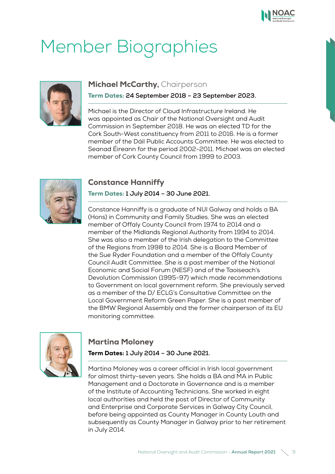

# Member Biographies



### **Michael McCarthy, Chairperson**

Term Dates: **24 September 2018 – 23 September 2023.**

Michael is the Director of Cloud Infrastructure Ireland. He was appointed as Chair of the National Oversight and Audit Commission in September 2018. He was an elected TD for the Cork South-West constituency from 2011 to 2016. He is a former member of the Dáil Public Accounts Committee. He was elected to Seanad Éireann for the period 2002-2011. Michael was an elected member of Cork County Council from 1999 to 2003.



## Constance Hanniffy

Term Dates: **1 July 2014 – 30 June 2021.**

Constance Hanniffy is a graduate of NUI Galway and holds a BA (Hons) in Community and Family Studies. She was an elected member of Offaly County Council from 1974 to 2014 and a member of the Midlands Regional Authority from 1994 to 2014. She was also a member of the Irish delegation to the Committee of the Regions from 1998 to 2014. She is a Board Member of the Sue Ryder Foundation and a member of the Offaly County Council Audit Committee. She is a past member of the National Economic and Social Forum (NESF) and of the Taoiseach's Devolution Commission (1995-97) which made recommendations to Government on local government reform. She previously served as a member of the D/ ECLG's Consultative Committee on the Local Government Reform Green Paper. She is a past member of the BMW Regional Assembly and the former chairperson of its EU monitoring committee.



## Martina Moloney

Term Dates: **1 July 2014 – 30 June 2021.**

Martina Moloney was a career official in Irish local government for almost thirty-seven years. She holds a BA and MA in Public Management and a Doctorate in Governance and is a member of the Institute of Accounting Technicians. She worked in eight local authorities and held the post of Director of Community and Enterprise and Corporate Services in Galway City Council, before being appointed as County Manager in County Louth and subsequently as County Manager in Galway prior to her retirement in July 2014.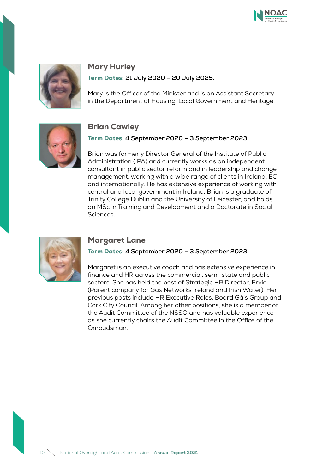



## Mary Hurley

Term Dates: **21 July 2020 – 20 July 2025.**

Mary is the Officer of the Minister and is an Assistant Secretary in the Department of Housing, Local Government and Heritage.



## Brian Cawley

### Term Dates: **4 September 2020 – 3 September 2023.**

Brian was formerly Director General of the Institute of Public Administration (IPA) and currently works as an independent consultant in public sector reform and in leadership and change management, working with a wide range of clients in Ireland, EC and internationally. He has extensive experience of working with central and local government in Ireland. Brian is a graduate of Trinity College Dublin and the University of Leicester, and holds an MSc in Training and Development and a Doctorate in Social Sciences.



### Margaret Lane

### Term Dates: **4 September 2020 – 3 September 2023.**

Margaret is an executive coach and has extensive experience in finance and HR across the commercial, semi-state and public sectors. She has held the post of Strategic HR Director, Ervia (Parent company for Gas Networks Ireland and Irish Water). Her previous posts include HR Executive Roles, Board Gáis Group and Cork City Council. Among her other positions, she is a member of the Audit Committee of the NSSO and has valuable experience as she currently chairs the Audit Committee in the Office of the Ombudsman.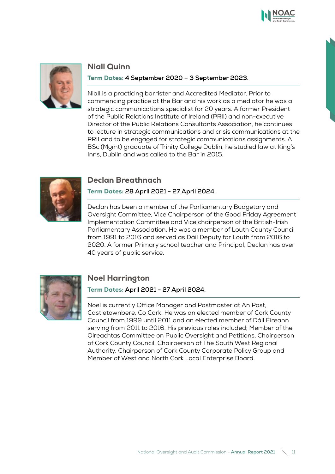



## Niall Quinn

### Term Dates: **4 September 2020 – 3 September 2023.**

Niall is a practicing barrister and Accredited Mediator. Prior to commencing practice at the Bar and his work as a mediator he was a strategic communications specialist for 20 years. A former President of the Public Relations Institute of Ireland (PRII) and non-executive Director of the Public Relations Consultants Association, he continues to lecture in strategic communications and crisis communications at the PRII and to be engaged for strategic communications assignments. A BSc (Mgmt) graduate of Trinity College Dublin, he studied law at King's Inns, Dublin and was called to the Bar in 2015.



## Declan Breathnach

### Term Dates: **28 April 2021 - 27 April 2024.**

Declan has been a member of the Parliamentary Budgetary and Oversight Committee, Vice Chairperson of the Good Friday Agreement Implementation Committee and Vice chairperson of the British-Irish Parliamentary Association. He was a member of Louth County Council from 1991 to 2016 and served as Dáil Deputy for Louth from 2016 to 2020. A former Primary school teacher and Principal, Declan has over 40 years of public service.



## Noel Harrington

### Term Dates: **April 2021 - 27 April 2024.**

Noel is currently Office Manager and Postmaster at An Post, Castletownbere, Co Cork. He was an elected member of Cork County Council from 1999 until 2011 and an elected member of Dáil Éireann serving from 2011 to 2016. His previous roles included; Member of the Oireachtas Committee on Public Oversight and Petitions, Chairperson of Cork County Council, Chairperson of The South West Regional Authority, Chairperson of Cork County Corporate Policy Group and Member of West and North Cork Local Enterprise Board.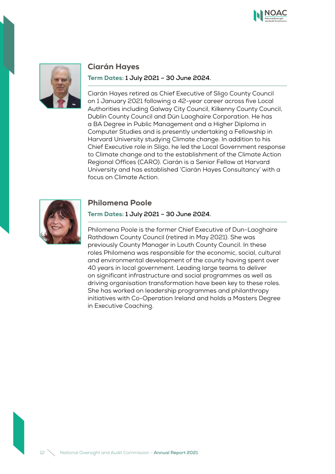



### Ciarán Hayes

#### Term Dates: **1 July 2021 – 30 June 2024.**

Ciarán Hayes retired as Chief Executive of Sligo County Council on 1 January 2021 following a 42-year career across five Local Authorities including Galway City Council, Kilkenny County Council, Dublin County Council and Dún Laoghaire Corporation. He has a BA Degree in Public Management and a Higher Diploma in Computer Studies and is presently undertaking a Fellowship in Harvard University studying Climate change. In addition to his Chief Executive role in Sligo, he led the Local Government response to Climate change and to the establishment of the Climate Action Regional Offices (CARO). Ciarán is a Senior Fellow at Harvard University and has established 'Ciarán Hayes Consultancy' with a focus on Climate Action.



### Philomena Poole

#### Term Dates: **1 July 2021 – 30 June 2024.**

Philomena Poole is the former Chief Executive of Dun-Laoghaire Rathdown County Council (retired in May 2021). She was previously County Manager in Louth County Council. In these roles Philomena was responsible for the economic, social, cultural and environmental development of the county having spent over 40 years in local government. Leading large teams to deliver on significant infrastructure and social programmes as well as driving organisation transformation have been key to these roles. She has worked on leadership programmes and philanthropy initiatives with Co-Operation Ireland and holds a Masters Degree in Executive Coaching.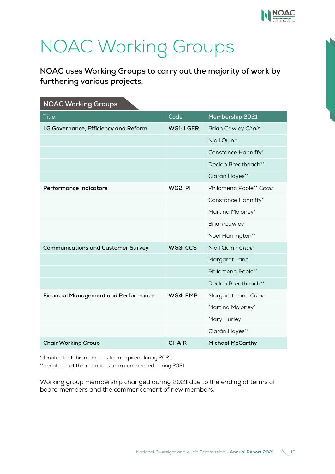

# NOAC Working Groups

**NOAC uses Working Groups to carry out the majority of work by furthering various projects.**

| <b>NOAC Working Groups</b>                  |              |                           |
|---------------------------------------------|--------------|---------------------------|
| <b>Title</b>                                | Code         | Membership 2021           |
| LG Governance, Efficiency and Reform        | WG1: LGER    | <b>Brian Cawley Chair</b> |
|                                             |              | <b>Niall Quinn</b>        |
|                                             |              | Constance Hanniffy*       |
|                                             |              | Declan Breathnach**       |
|                                             |              | Ciarán Hayes**            |
| <b>Performance Indicators</b>               | WG2:PI       | Philomena Poole** Chair   |
|                                             |              | Constance Hanniffy*       |
|                                             |              | Martina Moloney*          |
|                                             |              | <b>Brian Cawley</b>       |
|                                             |              | Noel Harrington**         |
| <b>Communications and Customer Survey</b>   | WG3: CCS     | Niall Quinn Chair         |
|                                             |              | Margaret Lane             |
|                                             |              | Philomena Poole**         |
|                                             |              | Declan Breathnach**       |
| <b>Financial Management and Performance</b> | WG4: FMP     | Margaret Lane Chair       |
|                                             |              | Martina Moloney*          |
|                                             |              | Mary Hurley               |
|                                             |              | Ciarán Hayes**            |
| <b>Chair Working Group</b>                  | <b>CHAIR</b> | <b>Michael McCarthy</b>   |

\*denotes that this member's term expired during 2021.

\*\*denotes that this member's term commenced during 2021.

Working group membership changed during 2021 due to the ending of terms of board members and the commencement of new members.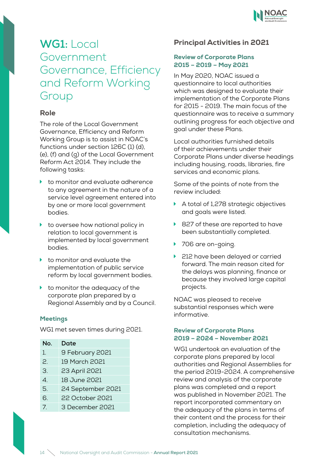

# **WG1:** Local Government Governance, Efficiency and Reform Working Group

### Role

The role of the Local Government Governance, Efficiency and Reform Working Group is to assist in NOAC's functions under section 126C (1) (d), (e), (f) and (g) of the Local Government Reform Act 2014. They include the following tasks:

- to monitor and evaluate adherence to any agreement in the nature of a service level agreement entered into by one or more local government bodies.
- $\blacktriangleright$  to oversee how national policy in relation to local government is implemented by local government bodies.
- to monitor and evaluate the implementation of public service reform by local government bodies.
- $\blacktriangleright$  to monitor the adequacy of the corporate plan prepared by a Regional Assembly and by a Council.

### Meetings

WG1 met seven times during 2021.

| No.            | Date              |
|----------------|-------------------|
| $\mathbf{1}$ . | 9 February 2021   |
| 2.             | 19 March 2021     |
| 3.             | 23 April 2021     |
| $\overline{A}$ | 18 June 2021      |
| 5.             | 24 September 2021 |
| 6.             | 22 October 2021   |
| 7              | 3 December 2021   |
|                |                   |

### Principal Activities in 2021

### Review of Corporate Plans 2015 – 2019 – May 2021

In May 2020, NOAC issued a questionnaire to local authorities which was designed to evaluate their implementation of the Corporate Plans for 2015 - 2019. The main focus of the questionnaire was to receive a summary outlining progress for each objective and goal under these Plans.

Local authorities furnished details of their achievements under their Corporate Plans under diverse headings including housing, roads, libraries, fire services and economic plans.

Some of the points of note from the review included:

- A total of 1,278 strategic objectives and goals were listed.
- ▶ 827 of these are reported to have been substantially completed.
- ▶ 706 are on-going.
- ▶ 212 have been delayed or carried forward. The main reason cited for the delays was planning, finance or because they involved large capital projects.

NOAC was pleased to receive substantial responses which were informative.

### Review of Corporate Plans 2019 – 2024 – November 2021

WG1 undertook an evaluation of the corporate plans prepared by local authorities and Regional Assemblies for the period 2019-2024. A comprehensive review and analysis of the corporate plans was completed and a report was published in November 2021. The report incorporated commentary on the adequacy of the plans in terms of their content and the process for their completion, including the adequacy of consultation mechanisms.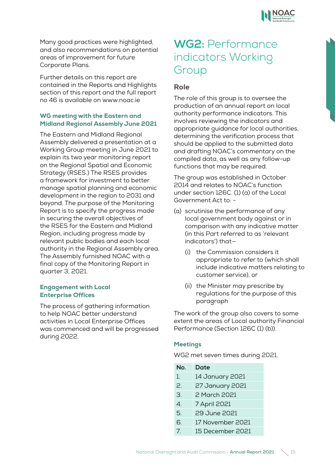Many good practices were highlighted, and also recommendations on potential areas of improvement for future Corporate Plans.

Further details on this report are contained in the Reports and Highlights section of this report and the full report no 46 is available on www.noac.ie

### WG meeting with the Eastern and Midland Regional Assembly June 2021

The Eastern and Midland Regional Assembly delivered a presentation at a Working Group meeting in June 2021 to explain its two year monitoring report on the Regional Spatial and Economic Strategy (RSES.) The RSES provides a framework for investment to better manage spatial planning and economic development in the region to 2031 and beyond. The purpose of the Monitoring Report is to specify the progress made in securing the overall objectives of the RSES for the Eastern and Midland Region, including progress made by relevant public bodies and each local authority in the Regional Assembly area. The Assembly furnished NOAC with a final copy of the Monitoring Report in quarter 3, 2021.

### Engagement with Local Enterprise Offices

The process of gathering information to help NOAC better understand activities in Local Enterprise Offices was commenced and will be progressed during 2022.

# **WG2:** Performance indicators Working Group

## Role

The role of this group is to oversee the production of an annual report on local authority performance indicators. This involves reviewing the indicators and appropriate guidance for local authorities, determining the verification process that should be applied to the submitted data and drafting NOAC's commentary on the compiled data, as well as any follow-up functions that may be required.

The group was established in October 2014 and relates to NOAC's function under section 126C. (1) (a) of the Local Government Act to: -

- (a) scrutinise the performance of any local government body against or in comparison with any indicative matter (in this Part referred to as 'relevant indicators') that—
	- (i) the Commission considers it appropriate to refer to (which shall include indicative matters relating to customer service), or
	- (ii) the Minister may prescribe by regulations for the purpose of this paragraph

The work of the group also covers to some extent the areas of Local authority Financial Performance (Section 126C (1) (b)).

### Meetings

WG2 met seven times during 2021.

| No.            | Date             |
|----------------|------------------|
| 1.             | 14 January 2021  |
| 2.             | 27 January 2021  |
| 3.             | 2 March 2021     |
| $\overline{A}$ | 7 April 2021     |
| 5.             | 29 June 2021     |
| 6.             | 17 November 2021 |
| 7 <sub>1</sub> | 15 December 2021 |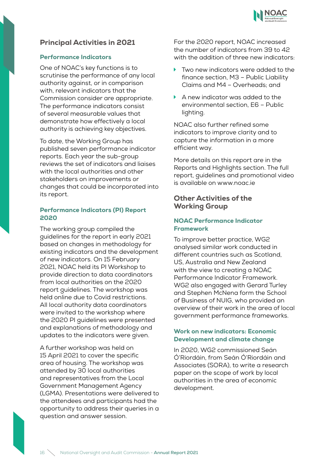

### Principal Activities in 2021

#### Performance Indicators

One of NOAC's key functions is to scrutinise the performance of any local authority against, or in comparison with, relevant indicators that the Commission consider are appropriate. The performance indicators consist of several measurable values that demonstrate how effectively a local authority is achieving key objectives.

To date, the Working Group has published seven performance indicator reports. Each year the sub-group reviews the set of indicators and liaises with the local authorities and other stakeholders on improvements or changes that could be incorporated into its report.

#### Performance Indicators (PI) Report 2020

The working group compiled the guidelines for the report in early 2021 based on changes in methodology for existing indicators and the development of new indicators. On 15 February 2021, NOAC held its PI Workshop to provide direction to data coordinators from local authorities on the 2020 report guidelines. The workshop was held online due to Covid restrictions. All local authority data coordinators were invited to the workshop where the 2020 PI guidelines were presented and explanations of methodology and updates to the indicators were given.

A further workshop was held on 15 April 2021 to cover the specific area of housing. The workshop was attended by 30 local authorities and representatives from the Local Government Management Agency (LGMA). Presentations were delivered to the attendees and participants had the opportunity to address their queries in a question and answer session.

For the 2020 report, NOAC increased the number of indicators from 39 to 42 with the addition of three new indicators:

- Two new indicators were added to the finance section, M3 – Public Liability Claims and M4 – Overheads; and
- A new indicator was added to the environmental section, E6 – Public lighting.

NOAC also further refined some indicators to improve clarity and to capture the information in a more efficient way.

More details on this report are in the Reports and Highlights section. The full report, guidelines and promotional video is available on www.noac.ie

### Other Activities of the Working Group

### NOAC Performance Indicator Framework

To improve better practice, WG2 analysed similar work conducted in different countries such as Scotland, US, Australia and New Zealand with the view to creating a NOAC Performance Indicator Framework. WG2 also engaged with Gerard Turley and Stephen McNena form the School of Business of NUIG, who provided an overview of their work in the area of local government performance frameworks.

### Work on new indicators: Economic Development and climate change

In 2020, WG2 commissioned Seán Ó'Riordáin, from Seán Ó'Riordáin and Associates (SORA), to write a research paper on the scope of work by local authorities in the area of economic development.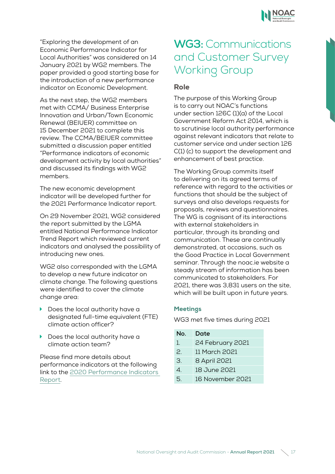"Exploring the development of an Economic Performance Indicator for Local Authorities" was considered on 14 January 2021 by WG2 members. The paper provided a good starting base for the introduction of a new performance indicator on Economic Development.

As the next step, the WG2 members met with CCMA/ Business Enterprise Innovation and Urban/Town Economic Renewal (BEIUER) committee on 15 December 2021 to complete this review. The CCMA/BEIUER committee submitted a discussion paper entitled "Performance indicators of economic development activity by local authorities" and discussed its findings with WG2 members.

The new economic development indicator will be developed further for the 2021 Performance Indicator report.

On 29 November 2021, WG2 considered the report submitted by the LGMA entitled National Performance Indicator Trend Report which reviewed current indicators and analysed the possibility of introducing new ones.

WG2 also corresponded with the LGMA to develop a new future indicator on climate change. The following questions were identified to cover the climate change area:

- Does the local authority have a designated full-time equivalent (FTE) climate action officer?
- Does the local authority have a climate action team?

Please find more details about performance indicators at the following link to the [2020 Performance Indicators](https://noac.ie/wp-content/uploads/2021/09/NOAC-Local-Authority-Performance-Indicator-Report-2020.pdf)  [Report](https://noac.ie/wp-content/uploads/2021/09/NOAC-Local-Authority-Performance-Indicator-Report-2020.pdf).

# **WG3:** Communications and Customer Survey Working Group

## Role

The purpose of this Working Group is to carry out NOAC's functions under section 126C (1)(a) of the Local Government Reform Act 2014, which is to scrutinise local authority performance against relevant indicators that relate to customer service and under section 126 C(1) (c) to support the development and enhancement of best practice.

The Working Group commits itself to delivering on its agreed terms of reference with regard to the activities or functions that should be the subject of surveys and also develops requests for proposals, reviews and questionnaires. The WG is cognisant of its interactions with external stakeholders in particular, through its branding and communication. These are continually demonstrated, at occasions, such as the Good Practice in Local Government seminar. Through the noac.ie website a steady stream of information has been communicated to stakeholders. For 2021, there was 3,831 users on the site, which will be built upon in future years.

### Meetings

WG3 met five times during 2021

| N٥. | Date             |
|-----|------------------|
| 1.  | 24 February 2021 |
| P.  | 11 March 2021    |
| 3.  | 8 April 2021     |
| 4   | 18 June 2021     |
| 5.  | 16 November 2021 |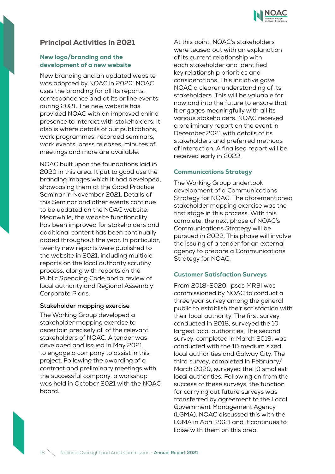

### Principal Activities in 2021

### New logo/branding and the development of a new website

New branding and an updated website was adopted by NOAC in 2020. NOAC uses the branding for all its reports, correspondence and at its online events during 2021. The new website has provided NOAC with an improved online presence to interact with stakeholders. It also is where details of our publications, work programmes, recorded seminars, work events, press releases, minutes of meetings and more are available.

NOAC built upon the foundations laid in 2020 in this area. It put to good use the branding images which it had developed, showcasing them at the Good Practice Seminar in November 2021. Details of this Seminar and other events continue to be updated on the NOAC website. Meanwhile, the website functionality has been improved for stakeholders and additional content has been continually added throughout the year. In particular, twenty new reports were published to the website in 2021, including multiple reports on the local authority scrutiny process, along with reports on the Public Spending Code and a review of local authority and Regional Assembly Corporate Plans.

#### **Stakeholder mapping exercise**

The Working Group developed a stakeholder mapping exercise to ascertain precisely all of the relevant stakeholders of NOAC. A tender was developed and issued in May 2021 to engage a company to assist in this project. Following the awarding of a contract and preliminary meetings with the successful company, a workshop was held in October 2021 with the NOAC board.

At this point, NOAC's stakeholders were teased out with an explanation of its current relationship with each stakeholder and identified key relationship priorities and considerations. This initiative gave NOAC a clearer understanding of its stakeholders. This will be valuable for now and into the future to ensure that it engages meaningfully with all its various stakeholders. NOAC received a preliminary report on the event in December 2021 with details of its stakeholders and preferred methods of interaction. A finalised report will be received early in 2022.

### Communications Strategy

The Working Group undertook development of a Communications Strategy for NOAC. The aforementioned stakeholder mapping exercise was the first stage in this process. With this complete, the next phase of NOAC's Communications Strategy will be pursued in 2022. This phase will involve the issuing of a tender for an external agency to prepare a Communications Strategy for NOAC.

#### Customer Satisfaction Surveys

From 2018-2020, Ipsos MRBI was commissioned by NOAC to conduct a three year survey among the general public to establish their satisfaction with their local authority. The first survey, conducted in 2018, surveyed the 10 largest local authorities. The second survey, completed in March 2019, was conducted with the 10 medium sized local authorities and Galway City. The third survey, completed in February/ March 2020, surveyed the 10 smallest local authorities. Following on from the success of these surveys, the function for carrying out future surveys was transferred by agreement to the Local Government Management Agency (LGMA). NOAC discussed this with the LGMA in April 2021 and it continues to liaise with them on this area.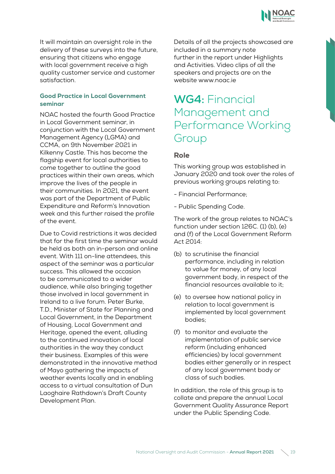

It will maintain an oversight role in the delivery of these surveys into the future, ensuring that citizens who engage with local government receive a high quality customer service and customer satisfaction.

### Good Practice in Local Government seminar

NOAC hosted the fourth Good Practice in Local Government seminar, in conjunction with the Local Government Management Agency (LGMA) and CCMA, on 9th November 2021 in Kilkenny Castle. This has become the flagship event for local authorities to come together to outline the good practices within their own areas, which improve the lives of the people in their communities. In 2021, the event was part of the Department of Public Expenditure and Reform's Innovation week and this further raised the profile of the event.

Due to Covid restrictions it was decided that for the first time the seminar would be held as both an in-person and online event. With 111 on-line attendees, this aspect of the seminar was a particular success. This allowed the occasion to be communicated to a wider audience, while also bringing together those involved in local government in Ireland to a live forum. Peter Burke, T.D., Minister of State for Planning and Local Government, in the Department of Housing, Local Government and Heritage, opened the event, alluding to the continued innovation of local authorities in the way they conduct their business. Examples of this were demonstrated in the innovative method of Mayo gathering the impacts of weather events locally and in enabling access to a virtual consultation of Dun Laoghaire Rathdown's Draft County Development Plan.

Details of all the projects showcased are included in a summary note further in the report under Highlights and Activities. Video clips of all the speakers and projects are on the website www.noac.ie

# **WG4:** Financial Management and Performance Working Group

### Role

This working group was established in January 2020 and took over the roles of previous working groups relating to:

- Financial Performance;
- Public Spending Code.

The work of the group relates to NOAC's function under section 126C. (1) (b), (e) and (f) of the Local Government Reform Act 2014:

- (b) to scrutinise the financial performance, including in relation to value for money, of any local government body, in respect of the financial resources available to it;
- (e) to oversee how national policy in relation to local government is implemented by local government bodies;
- (f) to monitor and evaluate the implementation of public service reform (including enhanced efficiencies) by local government bodies either generally or in respect of any local government body or class of such bodies.

In addition, the role of this group is to collate and prepare the annual Local Government Quality Assurance Report under the Public Spending Code.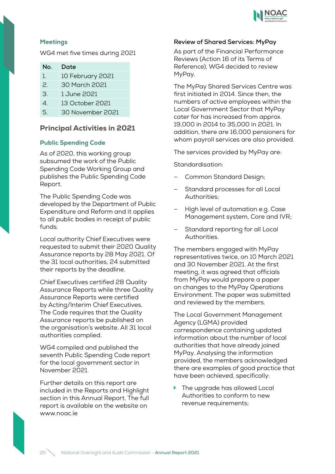

### Meetings

WG4 met five times during 2021

| No.            | Date             |
|----------------|------------------|
| 1.             | 10 February 2021 |
| 2.             | 30 March 2021    |
| 3.             | 1 June 2021      |
| $\overline{A}$ | 13 October 2021  |
| 5.             | 30 November 2021 |

### Principal Activities in 2021

### Public Spending Code

As of 2020, this working group subsumed the work of the Public Spending Code Working Group and publishes the Public Spending Code Report.

The Public Spending Code was developed by the Department of Public Expenditure and Reform and it applies to all public bodies in receipt of public funds.

Local authority Chief Executives were requested to submit their 2020 Quality Assurance reports by 28 May 2021. Of the 31 local authorities, 24 submitted their reports by the deadline.

Chief Executives certified 28 Quality Assurance Reports while three Quality Assurance Reports were certified by Acting/Interim Chief Executives. The Code requires that the Quality Assurance reports be published on the organisation's website. All 31 local authorities complied.

WG4 compiled and published the seventh Public Spending Code report for the local government sector in November 2021.

Further details on this report are included in the Reports and Highlight section in this Annual Report. The full report is available on the website on www.noac.ie

#### **Review of Shared Services: MyPay**

As part of the Financial Performance Reviews (Action 16 of its Terms of Reference), WG4 decided to review MyPay.

The MyPay Shared Services Centre was first initiated in 2014. Since then, the numbers of active employees within the Local Government Sector that MyPay cater for has increased from approx. 19,000 in 2014 to 35,000 in 2021. In addition, there are 16,000 pensioners for whom payroll services are also provided.

The services provided by MyPay are:

Standardisation:

- Common Standard Design;
- Standard processes for all Local Authorities;
- High level of automation e.g. Case Management system, Core and IVR;
- Standard reporting for all Local Authorities.

The members engaged with MyPay representatives twice, on 10 March 2021 and 30 November 2021. At the first meeting, it was agreed that officials from MyPay would prepare a paper on changes to the MyPay Operations Environment. The paper was submitted and reviewed by the members.

The Local Government Management Agency (LGMA) provided correspondence containing updated information about the number of local authorities that have already joined MyPay. Analysing the information provided, the members acknowledged there are examples of good practice that have been achieved, specifically:

▶ The upgrade has allowed Local Authorities to conform to new revenue requirements;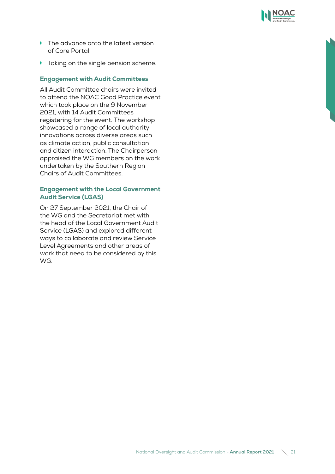

- ▶ The advance onto the latest version of Core Portal;
- **Taking on the single pension scheme.**

#### Engagement with Audit Committees

All Audit Committee chairs were invited to attend the NOAC Good Practice event which took place on the 9 November 2021, with 14 Audit Committees registering for the event. The workshop showcased a range of local authority innovations across diverse areas such as climate action, public consultation and citizen interaction. The Chairperson appraised the WG members on the work undertaken by the Southern Region Chairs of Audit Committees.

### Engagement with the Local Government Audit Service (LGAS)

On 27 September 2021, the Chair of the WG and the Secretariat met with the head of the Local Government Audit Service (LGAS) and explored different ways to collaborate and review Service Level Agreements and other areas of work that need to be considered by this WG.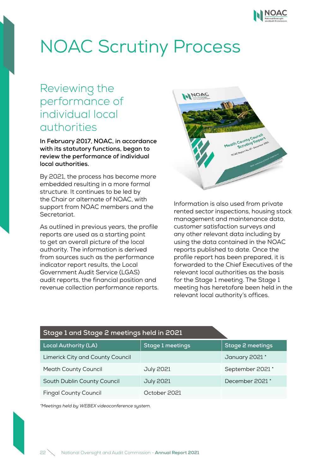# NOAC Scrutiny Process

# Reviewing the performance of individual local authorities

**In February 2017, NOAC, in accordance with its statutory functions, began to review the performance of individual local authorities.** 

By 2021, the process has become more embedded resulting in a more formal structure. It continues to be led by the Chair or alternate of NOAC, with support from NOAC members and the Secretariat.

As outlined in previous years, the profile reports are used as a starting point to get an overall picture of the local authority. The information is derived from sources such as the performance indicator report results, the Local Government Audit Service (LGAS) audit reports, the financial position and revenue collection performance reports.



Information is also used from private rented sector inspections, housing stock management and maintenance data, customer satisfaction surveys and any other relevant data including by using the data contained in the NOAC reports published to date. Once the profile report has been prepared, it is forwarded to the Chief Executives of the relevant local authorities as the basis for the Stage 1 meeting. The Stage 1 meeting has heretofore been held in the relevant local authority's offices.

| Stage 1 and Stage 2 meetings held in 2021 |                  |                         |  |
|-------------------------------------------|------------------|-------------------------|--|
| <b>Local Authority (LA)</b>               | Stage 1 meetings | <b>Stage 2 meetings</b> |  |
| Limerick City and County Council          |                  | January 2021*           |  |
| <b>Meath County Council</b>               | <b>July 2021</b> | September 2021*         |  |
| South Dublin County Council               | <b>July 2021</b> | December 2021*          |  |
| <b>Fingal County Council</b>              | October 2021     |                         |  |

*\*Meetings held by WEBEX videoconference system.*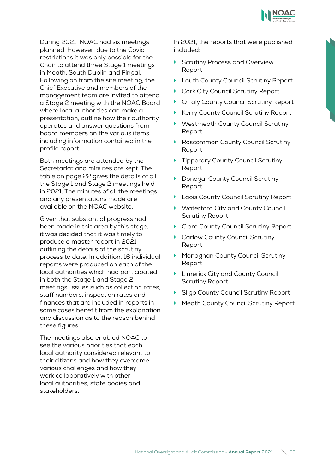

During 2021, NOAC had six meetings planned. However, due to the Covid restrictions it was only possible for the Chair to attend three Stage 1 meetings in Meath, South Dublin and Fingal. Following on from the site meeting, the Chief Executive and members of the management team are invited to attend a Stage 2 meeting with the NOAC Board where local authorities can make a presentation, outline how their authority operates and answer questions from board members on the various items including information contained in the profile report.

Both meetings are attended by the Secretariat and minutes are kept. The table on page 22 gives the details of all the Stage 1 and Stage 2 meetings held in 2021. The minutes of all the meetings and any presentations made are available on the NOAC website.

Given that substantial progress had been made in this area by this stage, it was decided that it was timely to produce a master report in 2021 outlining the details of the scrutiny process to date. In addition, 16 individual reports were produced on each of the local authorities which had participated in both the Stage 1 and Stage 2 meetings. Issues such as collection rates, staff numbers, inspection rates and finances that are included in reports in some cases benefit from the explanation and discussion as to the reason behind these figures.

The meetings also enabled NOAC to see the various priorities that each local authority considered relevant to their citizens and how they overcame various challenges and how they work collaboratively with other local authorities, state bodies and stakeholders.

In 2021, the reports that were published included:

- Scrutiny Process and Overview Report
- **Louth County Council Scrutiny Report**
- Cork City Council Scrutiny Report
- **Offaly County Council Scrutiny Report**
- Kerry County Council Scrutiny Report
- Westmeath County Council Scrutiny Report
- **Roscommon County Council Scrutiny** Report
- **Tipperary County Council Scrutiny** Report
- **Donegal County Council Scrutiny** Report
- **Laois County Council Scrutiny Report**
- ▶ Waterford City and County Council Scrutiny Report
- Clare County Council Scrutiny Report
- ▶ Carlow County Council Scrutiny Report
- **Monaghan County Council Scrutiny** Report
- **Limerick City and County Council** Scrutiny Report
- **Sligo County Council Scrutiny Report**
- **Meath County Council Scrutiny Report**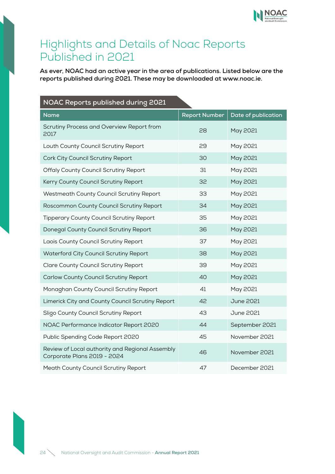

# Highlights and Details of Noac Reports Published in 2021

**As ever, NOAC had an active year in the area of publications. Listed below are the reports published during 2021. These may be downloaded at www.noac.ie.**

| NOAC Reports published during 2021                                             |                      |                     |
|--------------------------------------------------------------------------------|----------------------|---------------------|
| <b>Name</b>                                                                    | <b>Report Number</b> | Date of publication |
| Scrutiny Process and Overview Report from<br>2017                              | 28                   | May 2021            |
| Louth County Council Scrutiny Report                                           | 29                   | May 2021            |
| Cork City Council Scrutiny Report                                              | 30                   | May 2021            |
| <b>Offaly County Council Scrutiny Report</b>                                   | 31                   | May 2021            |
| Kerry County Council Scrutiny Report                                           | 32                   | May 2021            |
| Westmeath County Council Scrutiny Report                                       | 33                   | May 2021            |
| Roscommon County Council Scrutiny Report                                       | 34                   | May 2021            |
| <b>Tipperary County Council Scrutiny Report</b>                                | 35                   | May 2021            |
| Donegal County Council Scrutiny Report                                         | 36                   | May 2021            |
| Laois County Council Scrutiny Report                                           | 37                   | May 2021            |
| Waterford City Council Scrutiny Report                                         | 38                   | May 2021            |
| <b>Clare County Council Scrutiny Report</b>                                    | 39                   | May 2021            |
| Carlow County Council Scrutiny Report                                          | 40                   | May 2021            |
| Monaghan County Council Scrutiny Report                                        | 41                   | May 2021            |
| Limerick City and County Council Scrutiny Report                               | 42                   | June 2021           |
| Sligo County Council Scrutiny Report                                           | 43                   | June 2021           |
| NOAC Performance Indicator Report 2020                                         | 44                   | September 2021      |
| Public Spending Code Report 2020                                               | 45                   | November 2021       |
| Review of Local authority and Regional Assembly<br>Corporate Plans 2019 - 2024 | 46                   | November 2021       |
| Meath County Council Scrutiny Report                                           | 47                   | December 2021       |

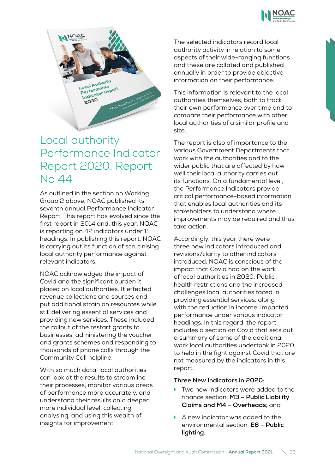



# Local authority Performance Indicator Report 2020: Report No 44

As outlined in the section on Working Group 2 above, NOAC published its seventh annual Performance Indicator Report. This report has evolved since the first report in 2014 and, this year, NOAC is reporting on 42 indicators under 11 headings. In publishing this report, NOAC is carrying out its function of scrutinising local authority performance against relevant indicators.

NOAC acknowledged the impact of Covid and the significant burden it placed on local authorities. It effected revenue collections and sources and put additional strain on resources while still delivering essential services and providing new services. These included the rollout of the restart grants to businesses, administering the voucher and grants schemes and responding to thousands of phone calls through the Community Call helpline.

With so much data, local authorities can look at the results to streamline their processes, monitor various areas of performance more accurately, and understand their results on a deeper, more individual level, collecting, analysing, and using this wealth of insights for improvement.

The selected indicators record local authority activity in relation to some aspects of their wide-ranging functions and these are collated and published annually in order to provide objective information on their performance.

This information is relevant to the local authorities themselves, both to track their own performance over time and to compare their performance with other local authorities of a similar profile and size.

The report is also of importance to the various Government Departments that work with the authorities and to the wider public that are affected by how well their local authority carries out its functions. On a fundamental level, the Performance Indicators provide critical performance-based information that enables local authorities and its stakeholders to understand where improvements may be required and thus take action.

Accordingly, this year there were three new indicators introduced and revisions/clarity to other indicators introduced. NOAC is conscious of the impact that Covid had on the work of local authorities in 2020. Public health restrictions and the increased challenges local authorities faced in providing essential services, along with the reduction in income, impacted performance under various indicator headings. In this regard, the report includes a section on Covid that sets out a summary of some of the additional work local authorities undertook in 2020 to help in the fight against Covid that are not measured by the indicators in this report.

#### **Three New Indicators in 2020:**

- Two new indicators were added to the finance section, **M3 – Public Liability Claims and M4 – Overheads;** and
- A new indicator was added to the environmental section, **E6 – Public lighting**.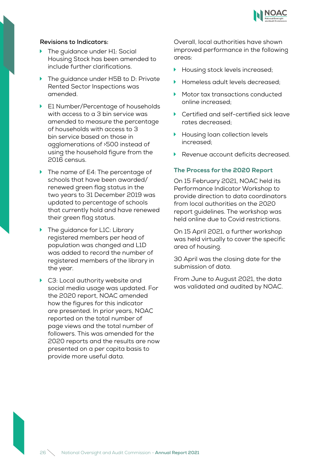

#### **Revisions to Indicators:**

- The guidance under H1: Social Housing Stock has been amended to include further clarifications.
- The guidance under H5B to D: Private Rented Sector Inspections was amended.
- ▶ E1 Number/Percentage of households with access to a 3 bin service was amended to measure the percentage of households with access to 3 bin service based on those in agglomerations of >500 instead of using the household figure from the 2016 census.
- The name of E4: The percentage of schools that have been awarded/ renewed green flag status in the two years to 31 December 2019 was updated to percentage of schools that currently hold and have renewed their green flag status.
- The guidance for L1C: Library registered members per head of population was changed and L1D was added to record the number of registered members of the library in the year.
- ▶ C3: Local authority website and social media usage was updated. For the 2020 report, NOAC amended how the figures for this indicator are presented. In prior years, NOAC reported on the total number of page views and the total number of followers. This was amended for the 2020 reports and the results are now presented on a per capita basis to provide more useful data.

Overall, local authorities have shown improved performance in the following areas:

- **Housing stock levels increased;**
- Homeless adult levels decreased;
- Motor tax transactions conducted online increased;
- Certified and self-certified sick leave rates decreased;
- **Housing loan collection levels** increased;
- Revenue account deficits decreased.

#### The Process for the 2020 Report

On 15 February 2021, NOAC held its Performance Indicator Workshop to provide direction to data coordinators from local authorities on the 2020 report guidelines. The workshop was held online due to Covid restrictions.

On 15 April 2021, a further workshop was held virtually to cover the specific area of housing.

30 April was the closing date for the submission of data.

From June to August 2021, the data was validated and audited by NOAC.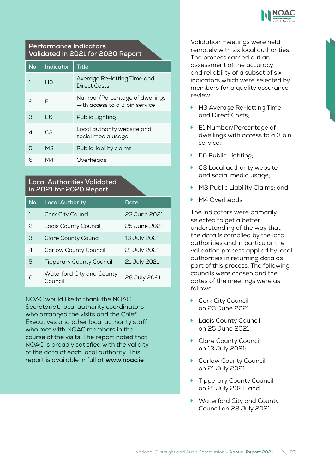

### **Performance Indicators Validated in 2021 for 2020 Report**

| No. | Indicator      | Title                                                            |
|-----|----------------|------------------------------------------------------------------|
| 1   | HЗ             | Average Re-letting Time and<br>Direct Costs                      |
| P   | F1             | Number/Percentage of dwellings<br>with access to a 3 bin service |
| З   | F <sub>6</sub> | Public Lighting                                                  |
| Δ   | CЗ             | Local authority website and<br>social media usage                |
| 5   | M <sub>3</sub> | Public liability claims                                          |
| ട   | M4             | Overheads                                                        |

### **Local Authorities Validated in 2021 for 2020 Report**

| No. | <b>Local Authority</b>               | Date         |
|-----|--------------------------------------|--------------|
| 1   | Cork City Council                    | 23 June 2021 |
| 2   | Laois County Council                 | 25 June 2021 |
| З   | <b>Clare County Council</b>          | 13 July 2021 |
| 4   | <b>Carlow County Council</b>         | 21 July 2021 |
| 5   | <b>Tipperary County Council</b>      | 21 July 2021 |
| ട   | Waterford City and County<br>Council | 28 July 2021 |

NOAC would like to thank the NOAC Secretariat, local authority coordinators who arranged the visits and the Chief Executives and other local authority staff who met with NOAC members in the course of the visits. The report noted that NOAC is broadly satisfied with the validity of the data of each local authority. This report is available in full at **www.noac.ie**

Validation meetings were held remotely with six local authorities. The process carried out an assessment of the accuracy and reliability of a subset of six indicators which were selected by members for a quality assurance review:

- ▶ H3 Average Re-letting Time and Direct Costs;
- ▶ E1 Number/Percentage of dwellings with access to a 3 bin service;
- ▶ E6 Public Lighting;
- ▶ C3 Local authority website and social media usage;
- M3 Public Liability Claims; and
- M4 Overheads.

The indicators were primarily selected to get a better understanding of the way that the data is compiled by the local authorities and in particular the validation process applied by local authorities in returning data as part of this process. The following councils were chosen and the dates of the meetings were as follows:

- ▶ Cork City Council on 23 June 2021;
- **Laois County Council** on 25 June 2021;
- ▶ Clare County Council on 13 July 2021;
- ▶ Carlow County Council on 21 July 2021;
- ▶ Tipperary County Council on 21 July 2021; and
- ▶ Waterford City and County Council on 28 July 2021.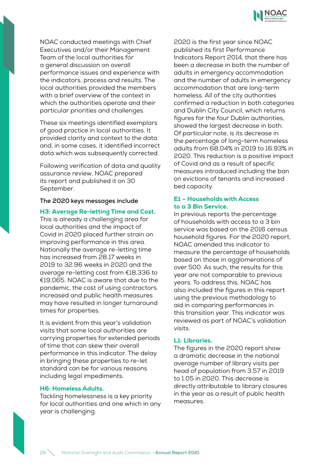

NOAC conducted meetings with Chief Executives and/or their Management Team of the local authorities for a general discussion on overall performance issues and experience with the indicators, process and results. The local authorities provided the members with a brief overview of the context in which the authorities operate and their particular priorities and challenges.

These six meetings identified exemplars of good practice in local authorities. It provided clarity and context to the data and, in some cases, it identified incorrect data which was subsequently corrected.

Following verification of data and quality assurance review, NOAC prepared its report and published it on 30 September.

#### **The 2020 keys messages include**

#### H3: Average Re-letting Time and Cost.

This is already a challenging area for local authorities and the impact of Covid in 2020 placed further strain on improving performance in this area. Nationally the average re-letting time has increased from 28.17 weeks in 2019 to 32.96 weeks in 2020 and the average re-letting cost from €18,336 to €19,065. NOAC is aware that due to the pandemic, the cost of using contractors increased and public health measures may have resulted in longer turnaround times for properties.

It is evident from this year's validation visits that some local authorities are carrying properties for extended periods of time that can skew their overall performance in this indicator. The delay in bringing these properties to re-let standard can be for various reasons including legal impediments.

#### H6: Homeless Adults.

Tackling homelessness is a key priority for local authorities and one which in any year is challenging.

2020 is the first year since NOAC published its first Performance Indicators Report 2014, that there has been a decrease in both the number of adults in emergency accommodation and the number of adults in emergency accommodation that are long-term homeless. All of the city authorities confirmed a reduction in both categories and Dublin City Council, which returns figures for the four Dublin authorities, showed the largest decrease in both. Of particular note, is its decrease in the percentage of long-term homeless adults from 68.04% in 2019 to 16.93% in 2020. This reduction is a positive impact of Covid and as a result of specific measures introduced including the ban on evictions of tenants and increased bed capacity.

#### E1 – Households with Access to a 3 Bin Service.

In previous reports the percentage of households with access to a 3 bin service was based on the 2016 census household figures. For the 2020 report, NOAC amended this indicator to measure the percentage of households based on those in agglomerations of over 500. As such, the results for this year are not comparable to previous years. To address this, NOAC has also included the figures in this report using the previous methodology to aid in comparing performances in this transition year. This indicator was reviewed as part of NOAC's validation visits.

#### L1: Libraries.

The figures in the 2020 report show a dramatic decrease in the national average number of library visits per head of population from 3.57 in 2019 to 1.05 in 2020. This decrease is directly attributable to library closures in the year as a result of public health measures.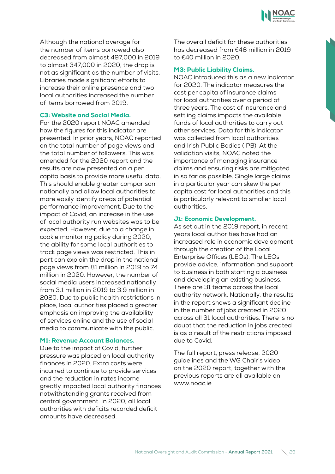

Although the national average for the number of items borrowed also decreased from almost 497,000 in 2019 to almost 347,000 in 2020, the drop is not as significant as the number of visits. Libraries made significant efforts to increase their online presence and two local authorities increased the number of items borrowed from 2019.

#### C3: Website and Social Media.

For the 2020 report NOAC amended how the figures for this indicator are presented. In prior years, NOAC reported on the total number of page views and the total number of followers. This was amended for the 2020 report and the results are now presented on a per capita basis to provide more useful data. This should enable greater comparison nationally and allow local authorities to more easily identify areas of potential performance improvement. Due to the impact of Covid, an increase in the use of local authority run websites was to be expected. However, due to a change in cookie monitoring policy during 2020, the ability for some local authorities to track page views was restricted. This in part can explain the drop in the national page views from 81 million in 2019 to 74 million in 2020. However, the number of social media users increased nationally from 3.1 million in 2019 to 3.9 million in 2020. Due to public health restrictions in place, local authorities placed a greater emphasis on improving the availability of services online and the use of social media to communicate with the public.

#### M1: Revenue Account Balances.

Due to the impact of Covid, further pressure was placed on local authority finances in 2020. Extra costs were incurred to continue to provide services and the reduction in rates income greatly impacted local authority finances notwithstanding grants received from central government. In 2020, all local authorities with deficits recorded deficit amounts have decreased.

The overall deficit for these authorities has decreased from €46 million in 2019 to €40 million in 2020.

#### M3: Public Liability Claims.

NOAC introduced this as a new indicator for 2020. The indicator measures the cost per capita of insurance claims for local authorities over a period of three years. The cost of insurance and settling claims impacts the available funds of local authorities to carry out other services. Data for this indicator was collected from local authorities and Irish Public Bodies (IPB). At the validation visits, NOAC noted the importance of managing insurance claims and ensuring risks are mitigated in so far as possible. Single large claims in a particular year can skew the per capita cost for local authorities and this is particularly relevant to smaller local authorities.

#### J1: Economic Development.

As set out in the 2019 report, in recent years local authorities have had an increased role in economic development through the creation of the Local Enterprise Offices (LEOs). The LEOs provide advice, information and support to business in both starting a business and developing an existing business. There are 31 teams across the local authority network. Nationally, the results in the report shows a significant decline in the number of jobs created in 2020 across all 31 local authorities. There is no doubt that the reduction in jobs created is as a result of the restrictions imposed due to Covid.

The full report, press release, 2020 guidelines and the WG Chair's video on the 2020 report, together with the previous reports are all available on www.noac.ie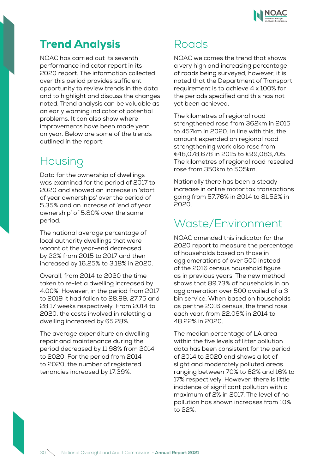

## Trend Analysis

NOAC has carried out its seventh performance indicator report in its 2020 report. The information collected over this period provides sufficient opportunity to review trends in the data and to highlight and discuss the changes noted. Trend analysis can be valuable as an early warning indicator of potential problems. It can also show where improvements have been made year on year. Below are some of the trends outlined in the report:

# **Housing**

Data for the ownership of dwellings was examined for the period of 2017 to 2020 and showed an increase in 'start of year ownerships' over the period of 5.35% and an increase of 'end of year ownership' of 5.80% over the same period.

The national average percentage of local authority dwellings that were vacant at the year-end decreased by 22% from 2015 to 2017 and then increased by 16.25% to 3.18% in 2020.

Overall, from 2014 to 2020 the time taken to re-let a dwelling increased by 4.00%. However, in the period from 2017 to 2019 it had fallen to 28.99, 27.75 and 28.17 weeks respectively. From 2014 to 2020, the costs involved in reletting a dwelling increased by 65.28%.

The average expenditure on dwelling repair and maintenance during the period decreased by 11.98% from 2014 to 2020. For the period from 2014 to 2020, the number of registered tenancies increased by 17.39%.

# Roads

NOAC welcomes the trend that shows a very high and increasing percentage of roads being surveyed, however, it is noted that the Department of Transport requirement is to achieve 4 x 100% for the periods specified and this has not yet been achieved.

The kilometres of regional road strengthened rose from 362km in 2015 to 457km in 2020. In line with this, the amount expended on regional road strengthening work also rose from €48,078,678 in 2015 to €99,083,705. The kilometres of regional road resealed rose from 350km to 505km.

Nationally there has been a steady increase in online motor tax transactions going from 57.76% in 2014 to 81.52% in 2020.

# Waste/Environment

NOAC amended this indicator for the 2020 report to measure the percentage of households based on those in agglomerations of over 500 instead of the 2016 census household figure as in previous years. The new method shows that 89.73% of households in an agglomeration over 500 availed of a 3 bin service. When based on households as per the 2016 census, the trend rose each year, from 22.09% in 2014 to 48.22% in 2020.

The median percentage of LA area within the five levels of litter pollution data has been consistent for the period of 2014 to 2020 and shows a lot of slight and moderately polluted areas ranging between 70% to 62% and 16% to 17% respectively. However, there is little incidence of significant pollution with a maximum of 2% in 2017. The level of no pollution has shown increases from 10% to 22%.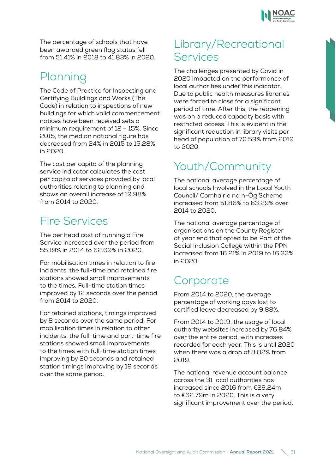

The percentage of schools that have been awarded green flag status fell from 51.41% in 2018 to 41.83% in 2020.

# Planning

The Code of Practice for Inspecting and Certifying Buildings and Works (The Code) in relation to inspections of new buildings for which valid commencement notices have been received sets a minimum requirement of 12 – 15%. Since 2015, the median national figure has decreased from 24% in 2015 to 15.28% in 2020.

The cost per capita of the planning service indicator calculates the cost per capita of services provided by local authorities relating to planning and shows an overall increase of 19.98% from 2014 to 2020.

# Fire Services

The per head cost of running a Fire Service increased over the period from 55.19% in 2014 to 62.69% in 2020.

For mobilisation times in relation to fire incidents, the full-time and retained fire stations showed small improvements to the times. Full-time station times improved by 12 seconds over the period from 2014 to 2020.

For retained stations, timings improved by 8 seconds over the same period. For mobilisation times in relation to other incidents, the full-time and part-time fire stations showed small improvements to the times with full-time station times improving by 20 seconds and retained station timings improving by 19 seconds over the same period.

# Library/Recreational **Services**

The challenges presented by Covid in 2020 impacted on the performance of local authorities under this indicator. Due to public health measures libraries were forced to close for a significant period of time. After this, the reopening was on a reduced capacity basis with restricted access. This is evident in the significant reduction in library visits per head of population of 70.59% from 2019 to 2020.

# Youth/Community

The national average percentage of local schools Involved in the Local Youth Council/ Comhairle na n-Óg Scheme increased from 51.86% to 63.29% over 2014 to 2020.

The national average percentage of organisations on the County Register at year end that opted to be Part of the Social Inclusion College within the PPN increased from 16.21% in 2019 to 16.33% in 2020.

# **Corporate**

From 2014 to 2020, the average percentage of working days lost to certified leave decreased by 9.88%.

From 2014 to 2019, the usage of local authority websites increased by 76.84% over the entire period, with increases recorded for each year. This is until 2020 when there was a drop of 8.82% from 2019.

The national revenue account balance across the 31 local authorities has increased since 2016 from €29.24m to €62.79m in 2020. This is a very significant improvement over the period.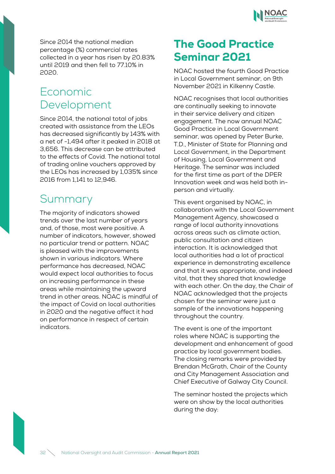

Since 2014 the national median percentage (%) commercial rates collected in a year has risen by 20.83% until 2019 and then fell to 77.10% in 2020.

# Economic Development

Since 2014, the national total of jobs created with assistance from the LEOs has decreased significantly by 143% with a net of -1,494 after it peaked in 2018 at 3,656. This decrease can be attributed to the effects of Covid. The national total of trading online vouchers approved by the LEOs has increased by 1,035% since 2016 from 1,141 to 12,946.

# **Summary**

The majority of indicators showed trends over the last number of years and, of those, most were positive. A number of indicators, however, showed no particular trend or pattern. NOAC is pleased with the improvements shown in various indicators. Where performance has decreased, NOAC would expect local authorities to focus on increasing performance in these areas while maintaining the upward trend in other areas. NOAC is mindful of the impact of Covid on local authorities in 2020 and the negative affect it had on performance in respect of certain indicators.

# The Good Practice Seminar 2021

NOAC hosted the fourth Good Practice in Local Government seminar, on 9th November 2021 in Kilkenny Castle.

NOAC recognises that local authorities are continually seeking to innovate in their service delivery and citizen engagement. The now annual NOAC Good Practice in Local Government seminar, was opened by Peter Burke, T.D., Minister of State for Planning and Local Government, in the Department of Housing, Local Government and Heritage. The seminar was included for the first time as part of the DPER Innovation week and was held both inperson and virtually.

This event organised by NOAC, in collaboration with the Local Government Management Agency, showcased a range of local authority innovations across areas such as climate action, public consultation and citizen interaction. It is acknowledged that local authorities had a lot of practical experience in demonstrating excellence and that it was appropriate, and indeed vital, that they shared that knowledge with each other. On the day, the Chair of NOAC acknowledged that the projects chosen for the seminar were just a sample of the innovations happening throughout the country.

The event is one of the important roles where NOAC is supporting the development and enhancement of good practice by local government bodies. The closing remarks were provided by Brendan McGrath, Chair of the County and City Management Association and Chief Executive of Galway City Council.

The seminar hosted the projects which were on show by the local authorities during the day: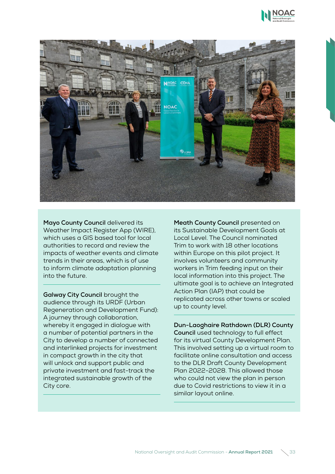



**Mayo County Council** delivered its Weather Impact Register App (WIRE), which uses a GIS based tool for local authorities to record and review the impacts of weather events and climate trends in their areas, which is of use to inform climate adaptation planning into the future.

**Galway City Council** brought the audience through its URDF (Urban Regeneration and Development Fund): A journey through collaboration, whereby it engaged in dialogue with a number of potential partners in the City to develop a number of connected and interlinked projects for investment in compact growth in the city that will unlock and support public and private investment and fast-track the integrated sustainable growth of the City core.

**Meath County Council** presented on its Sustainable Development Goals at Local Level. The Council nominated Trim to work with 18 other locations within Europe on this pilot project. It involves volunteers and community workers in Trim feeding input on their local information into this project. The ultimate goal is to achieve an Integrated Action Plan (IAP) that could be replicated across other towns or scaled up to county level.

### **Dun-Laoghaire Rathdown (DLR) County**

**Council** used technology to full effect for its virtual County Development Plan. This involved setting up a virtual room to facilitate online consultation and access to the DLR Draft County Development Plan 2022-2028. This allowed those who could not view the plan in person due to Covid restrictions to view it in a similar layout online.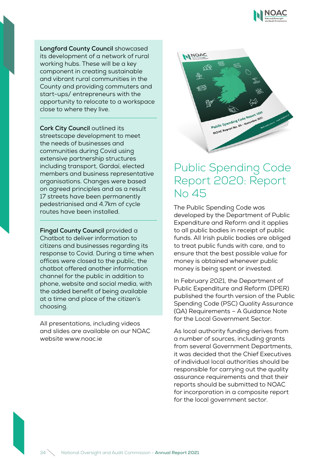

**Longford County Council** showcased its development of a network of rural working hubs. These will be a key component in creating sustainable and vibrant rural communities in the County and providing commuters and start-ups/ entrepreneurs with the opportunity to relocate to a workspace close to where they live.

**Cork City Council** outlined its streetscape development to meet the needs of businesses and communities during Covid using extensive partnership structures including transport, Gardaí, elected members and business representative organisations. Changes were based on agreed principles and as a result 17 streets have been permanently pedestrianised and 4.7km of cycle routes have been installed.

**Fingal County Council** provided a Chatbot to deliver information to citizens and businesses regarding its response to Covid. During a time when offices were closed to the public, the chatbot offered another information channel for the public in addition to phone, website and social media, with the added benefit of being available at a time and place of the citizen's choosing.

All presentations, including videos and slides are available on our NOAC website www.noac.ie



# Public Spending Code Report 2020: Report No 45

The Public Spending Code was developed by the Department of Public Expenditure and Reform and it applies to all public bodies in receipt of public funds. All Irish public bodies are obliged to treat public funds with care, and to ensure that the best possible value for money is obtained whenever public money is being spent or invested.

In February 2021, the Department of Public Expenditure and Reform (DPER) published the fourth version of the Public Spending Code (PSC) Quality Assurance (QA) Requirements – A Guidance Note for the Local Government Sector.

As local authority funding derives from a number of sources, including grants from several Government Departments, it was decided that the Chief Executives of individual local authorities should be responsible for carrying out the quality assurance requirements and that their reports should be submitted to NOAC for incorporation in a composite report for the local government sector.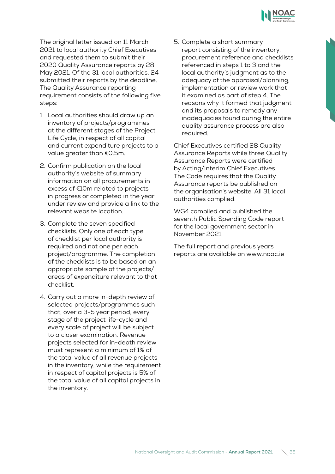

The original letter issued on 11 March 2021 to local authority Chief Executives and requested them to submit their 2020 Quality Assurance reports by 28 May 2021. Of the 31 local authorities, 24 submitted their reports by the deadline. The Quality Assurance reporting requirement consists of the following five steps:

- 1 Local authorities should draw up an inventory of projects/programmes at the different stages of the Project Life Cycle, in respect of all capital and current expenditure projects to a value greater than €0.5m.
- 2. Confirm publication on the local authority's website of summary information on all procurements in excess of €10m related to projects in progress or completed in the year under review and provide a link to the relevant website location.
- 3. Complete the seven specified checklists. Only one of each type of checklist per local authority is required and not one per each project/programme. The completion of the checklists is to be based on an appropriate sample of the projects/ areas of expenditure relevant to that checklist.
- 4. Carry out a more in-depth review of selected projects/programmes such that, over a 3-5 year period, every stage of the project life-cycle and every scale of project will be subject to a closer examination. Revenue projects selected for in-depth review must represent a minimum of 1% of the total value of all revenue projects in the inventory, while the requirement in respect of capital projects is 5% of the total value of all capital projects in the inventory.

5. Complete a short summary report consisting of the inventory, procurement reference and checklists referenced in steps 1 to 3 and the local authority's judgment as to the adequacy of the appraisal/planning, implementation or review work that it examined as part of step 4. The reasons why it formed that judgment and its proposals to remedy any inadequacies found during the entire quality assurance process are also required.

Chief Executives certified 28 Quality Assurance Reports while three Quality Assurance Reports were certified by Acting/Interim Chief Executives. The Code requires that the Quality Assurance reports be published on the organisation's website. All 31 local authorities complied.

WG4 compiled and published the seventh Public Spending Code report for the local government sector in November 2021.

The full report and previous years reports are available on www.noac.ie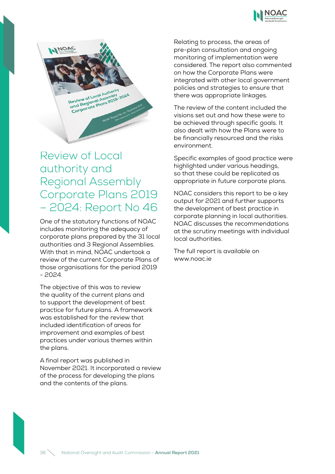



# Review of Local authority and Regional Assembly Corporate Plans 2019 – 2024: Report No 46

One of the statutory functions of NOAC includes monitoring the adequacy of corporate plans prepared by the 31 local authorities and 3 Regional Assemblies. With that in mind, NOAC undertook a review of the current Corporate Plans of those organisations for the period 2019 - 2024.

The objective of this was to review the quality of the current plans and to support the development of best practice for future plans. A framework was established for the review that included identification of areas for improvement and examples of best practices under various themes within the plans.

A final report was published in November 2021. It incorporated a review of the process for developing the plans and the contents of the plans.

Relating to process, the areas of pre-plan consultation and ongoing monitoring of implementation were considered. The report also commented on how the Corporate Plans were integrated with other local government policies and strategies to ensure that there was appropriate linkages.

The review of the content included the visions set out and how these were to be achieved through specific goals. It also dealt with how the Plans were to be financially resourced and the risks environment.

Specific examples of good practice were highlighted under various headings, so that these could be replicated as appropriate in future corporate plans.

NOAC considers this report to be a key output for 2021 and further supports the development of best practice in corporate planning in local authorities. NOAC discusses the recommendations at the scrutiny meetings with individual local authorities.

The full report is available on www.noac.ie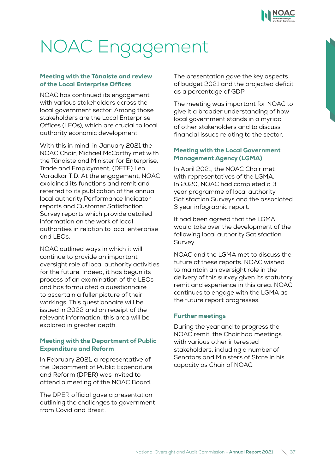# NOAC Engagement

### Meeting with the Tánaiste and review of the Local Enterprise Offices

NOAC has continued its engagement with various stakeholders across the local government sector. Among those stakeholders are the Local Enterprise Offices (LEOs), which are crucial to local authority economic development.

With this in mind, in January 2021 the NOAC Chair, Michael McCarthy met with the Tánaiste and Minister for Enterprise, Trade and Employment, (DETE) Leo Varadkar T.D. At the engagement, NOAC explained its functions and remit and referred to its publication of the annual local authority Performance Indicator reports and Customer Satisfaction Survey reports which provide detailed information on the work of local authorities in relation to local enterprise and LEOs.

NOAC outlined ways in which it will continue to provide an important oversight role of local authority activities for the future. Indeed, it has begun its process of an examination of the LEOs and has formulated a questionnaire to ascertain a fuller picture of their workings. This questionnaire will be issued in 2022 and on receipt of the relevant information, this area will be explored in greater depth.

### Meeting with the Department of Public Expenditure and Reform

In February 2021, a representative of the Department of Public Expenditure and Reform (DPER) was invited to attend a meeting of the NOAC Board.

The DPER official gave a presentation outlining the challenges to government from Covid and Brexit.

The presentation gave the key aspects of budget 2021 and the projected deficit as a percentage of GDP.

The meeting was important for NOAC to give it a broader understanding of how local government stands in a myriad of other stakeholders and to discuss financial issues relating to the sector.

### Meeting with the Local Government Management Agency (LGMA)

In April 2021, the NOAC Chair met with representatives of the LGMA. In 2020, NOAC had completed a 3 year programme of local authority Satisfaction Surveys and the associated 3 year infographic report.

It had been agreed that the LGMA would take over the development of the following local authority Satisfaction Survey.

NOAC and the LGMA met to discuss the future of these reports. NOAC wished to maintain an oversight role in the delivery of this survey given its statutory remit and experience in this area. NOAC continues to engage with the LGMA as the future report progresses.

### Further meetings

During the year and to progress the NOAC remit, the Chair had meetings with various other interested stakeholders, including a number of Senators and Ministers of State in his capacity as Chair of NOAC.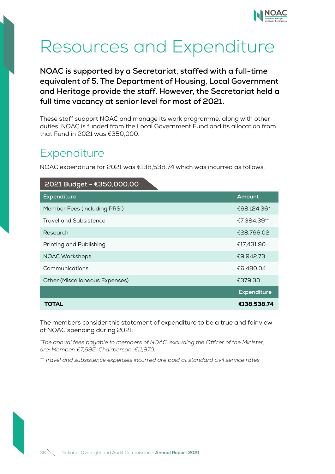

# Resources and Expenditure

**NOAC is supported by a Secretariat, staffed with a full-time equivalent of 5. The Department of Housing, Local Government and Heritage provide the staff. However, the Secretariat held a full time vacancy at senior level for most of 2021.**

These staff support NOAC and manage its work programme, along with other duties. NOAC is funded from the Local Government Fund and its allocation from that Fund in 2021 was €350,000.

# **Expenditure**

NOAC expenditure for 2021 was €138,538.74 which was incurred as follows;

| 2021 Budget - €350,000.00      |                    |
|--------------------------------|--------------------|
| <b>Expenditure</b>             | Amount             |
| Member Fees (including PRSI)   | €68,124.36*        |
| <b>Travel and Subsistence</b>  | €7,384.39**        |
| Research                       | €28,796.02         |
| Printing and Publishing        | €17.431.90         |
| <b>NOAC Workshops</b>          | €9,942.73          |
| Communications                 | €6,480.04          |
| Other (Miscellaneous Expenses) | €379.30            |
|                                | <b>Expenditure</b> |
| TOTAL                          | €138,538.74        |

The members consider this statement of expenditure to be a true and fair view of NOAC spending during 2021.

*\*The annual fees payable to members of NOAC, excluding the Officer of the Minister, are: Member: €7,695. Chairperson: €11,970.*

*\*\* Travel and subsistence expenses incurred are paid at standard civil service rates.*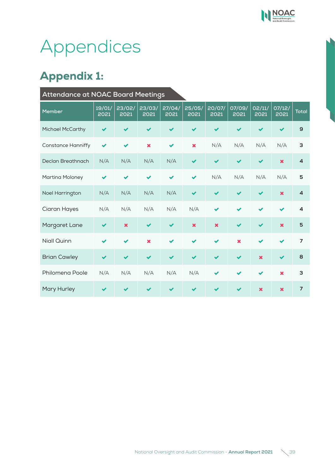# Appendices

# Appendix 1:

| <b>Attendance at NOAC Board Meetings</b> |                      |                       |                         |                          |                           |                         |                         |                           |                          |                         |
|------------------------------------------|----------------------|-----------------------|-------------------------|--------------------------|---------------------------|-------------------------|-------------------------|---------------------------|--------------------------|-------------------------|
| <b>Member</b>                            | 19/01/<br>2021       | 23/02/<br>2021        | 23/03/<br>2021          | 27/04/<br>2021           | 25/05/<br>2021            | 20/07/<br>2021          | 07/09/<br>2021          | 02/11/<br>2021            | 07/12/<br>2021           | <b>Total</b>            |
| Michael McCarthy                         | $\checkmark$         |                       | $\checkmark$            | $\overline{\mathbf{v}}$  | $\checkmark$              | $\blacktriangleright$   | $\overline{\mathbf{v}}$ | ✔                         | $\blacktriangleright$    | 9                       |
| <b>Constance Hanniffy</b>                | $\blacktriangledown$ |                       | $\pmb{\times}$          | $\blacktriangleright$    | $\boldsymbol{\mathsf{x}}$ | N/A                     | N/A                     | N/A                       | N/A                      | 3                       |
| Declan Breathnach                        | N/A                  | N/A                   | N/A                     | N/A                      | $\overline{\mathbf{v}}$   |                         |                         | $\blacktriangleright$     | $\mathbf x$              | $\overline{4}$          |
| Martina Moloney                          | ✔                    | ✔                     | ✔                       | ✔                        | ✔                         | N/A                     | N/A                     | N/A                       | N/A                      | 5                       |
| Noel Harrington                          | N/A                  | N/A                   | N/A                     | N/A                      | $\overline{\mathscr{L}}$  |                         | ✔                       | $\blacktriangledown$      | $\mathbf x$              | $\overline{4}$          |
| Ciaran Hayes                             | N/A                  | N/A                   | N/A                     | N/A                      | N/A                       |                         | ✔                       | $\overline{\mathscr{L}}$  | V                        | $\overline{\mathbf{A}}$ |
| Margaret Lane                            | ✔                    | $\mathbf x$           | $\overline{\mathbf{v}}$ | ✔                        | $\mathbf x$               | $\overline{\mathbf{x}}$ | $\overline{\mathbf{v}}$ | $\overline{\mathbf{v}}$   | $\overline{\mathbf{x}}$  | 5                       |
| <b>Niall Quinn</b>                       | ✔                    | $\blacktriangleright$ | $\mathbf x$             | $\overline{\mathscr{L}}$ |                           | $\overline{\mathbf{v}}$ | $\overline{\mathbf{x}}$ | ✔                         | $\overline{\mathscr{L}}$ | $\overline{7}$          |
| <b>Brian Cawley</b>                      | $\checkmark$         | $\blacktriangledown$  | $\checkmark$            | $\checkmark$             | $\overline{\mathbf{v}}$   | $\overline{\mathbf{v}}$ | $\blacktriangledown$    | $\mathbf x$               | $\checkmark$             | 8                       |
| Philomena Poole                          | N/A                  | N/A                   | N/A                     | N/A                      | N/A                       |                         |                         | $\blacktriangleright$     | $\overline{\mathbf{x}}$  | 3                       |
| Mary Hurley                              |                      |                       |                         |                          |                           |                         |                         | $\boldsymbol{\mathsf{x}}$ | $\mathbf x$              | $\overline{7}$          |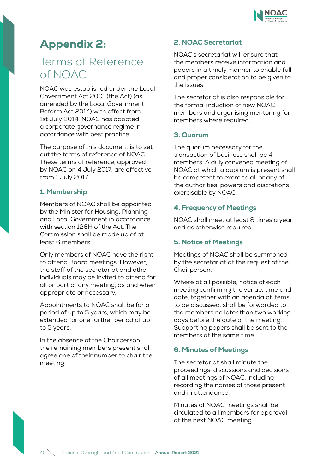

# Appendix 2:

# Terms of Reference of NOAC

NOAC was established under the Local Government Act 2001 (the Act) (as amended by the Local Government Reform Act 2014) with effect from 1st July 2014. NOAC has adopted a corporate governance regime in accordance with best practice.

The purpose of this document is to set out the terms of reference of NOAC. These terms of reference, approved by NOAC on 4 July 2017, are effective from 1 July 2017.

### 1. Membership

Members of NOAC shall be appointed by the Minister for Housing, Planning and Local Government in accordance with section 126H of the Act. The Commission shall be made up of at least 6 members.

Only members of NOAC have the right to attend Board meetings. However, the staff of the secretariat and other individuals may be invited to attend for all or part of any meeting, as and when appropriate or necessary.

Appointments to NOAC shall be for a period of up to 5 years, which may be extended for one further period of up to 5 years.

In the absence of the Chairperson, the remaining members present shall agree one of their number to chair the meeting.

### 2. NOAC Secretariat

NOAC's secretariat will ensure that the members receive information and papers in a timely manner to enable full and proper consideration to be given to the issues.

The secretariat is also responsible for the formal induction of new NOAC members and organising mentoring for members where required.

### 3. Quorum

The quorum necessary for the transaction of business shall be 4 members. A duly convened meeting of NOAC at which a quorum is present shall be competent to exercise all or any of the authorities, powers and discretions exercisable by NOAC.

### 4. Frequency of Meetings

NOAC shall meet at least 8 times a year, and as otherwise required.

### 5. Notice of Meetings

Meetings of NOAC shall be summoned by the secretariat at the request of the Chairperson.

Where at all possible, notice of each meeting confirming the venue, time and date, together with an agenda of items to be discussed, shall be forwarded to the members no later than two working days before the date of the meeting. Supporting papers shall be sent to the members at the same time.

### 6. Minutes of Meetings

The secretariat shall minute the proceedings, discussions and decisions of all meetings of NOAC, including recording the names of those present and in attendance.

Minutes of NOAC meetings shall be circulated to all members for approval at the next NOAC meeting.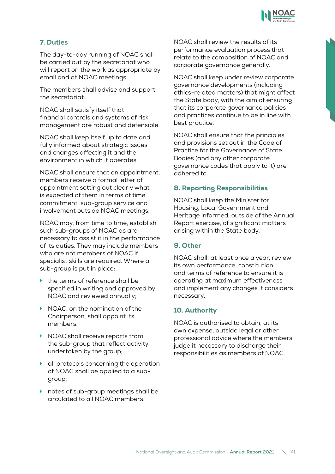

### 7. Duties

The day-to-day running of NOAC shall be carried out by the secretariat who will report on the work as appropriate by email and at NOAC meetings.

The members shall advise and support the secretariat.

NOAC shall satisfy itself that financial controls and systems of risk management are robust and defensible.

NOAC shall keep itself up to date and fully informed about strategic issues and changes affecting it and the environment in which it operates.

NOAC shall ensure that on appointment, members receive a formal letter of appointment setting out clearly what is expected of them in terms of time commitment, sub-group service and involvement outside NOAC meetings.

NOAC may, from time to time, establish such sub-groups of NOAC as are necessary to assist it in the performance of its duties. They may include members who are not members of NOAC if specialist skills are required. Where a sub-group is put in place:

- $\blacktriangleright$  the terms of reference shall be specified in writing and approved by NOAC and reviewed annually;
- NOAC, on the nomination of the Chairperson, shall appoint its members;
- ▶ NOAC shall receive reports from the sub-group that reflect activity undertaken by the group;
- **I** all protocols concerning the operation of NOAC shall be applied to a subgroup;
- **h** notes of sub-group meetings shall be circulated to all NOAC members.

NOAC shall review the results of its performance evaluation process that relate to the composition of NOAC and corporate governance generally.

NOAC shall keep under review corporate governance developments (including ethics-related matters) that might affect the State body, with the aim of ensuring that its corporate governance policies and practices continue to be in line with best practice.

NOAC shall ensure that the principles and provisions set out in the Code of Practice for the Governance of State Bodies (and any other corporate governance codes that apply to it) are adhered to.

### 8. Reporting Responsibilities

NOAC shall keep the Minister for Housing, Local Government and Heritage informed, outside of the Annual Report exercise, of significant matters arising within the State body.

### 9. Other

NOAC shall, at least once a year, review its own performance, constitution and terms of reference to ensure it is operating at maximum effectiveness and implement any changes it considers necessary.

### 10. Authority

NOAC is authorised to obtain, at its own expense, outside legal or other professional advice where the members judge it necessary to discharge their responsibilities as members of NOAC.